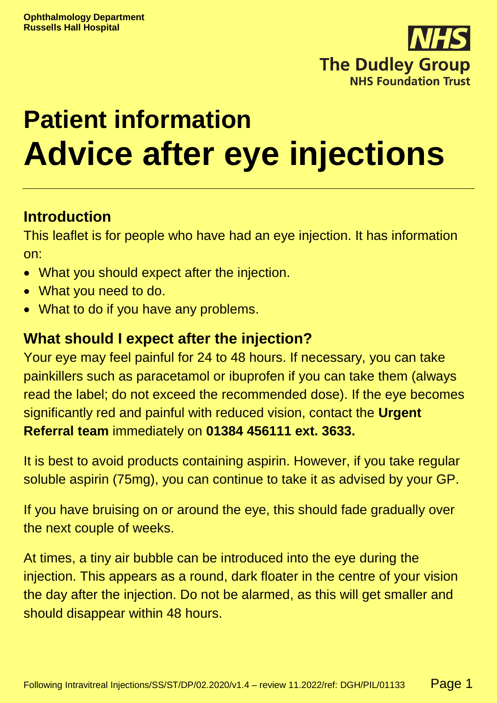

# **Patient information Advice after eye injections**

## **Introduction**

This leaflet is for people who have had an eye injection. It has information on:

- What you should expect after the injection.
- What you need to do.
- What to do if you have any problems.

## **What should I expect after the injection?**

Your eye may feel painful for 24 to 48 hours. If necessary, you can take painkillers such as paracetamol or ibuprofen if you can take them (always read the label; do not exceed the recommended dose). If the eye becomes significantly red and painful with reduced vision, contact the **Urgent Referral team** immediately on **01384 456111 ext. 3633.**

It is best to avoid products containing aspirin. However, if you take regular soluble aspirin (75mg), you can continue to take it as advised by your GP.

If you have bruising on or around the eye, this should fade gradually over the next couple of weeks.

At times, a tiny air bubble can be introduced into the eye during the injection. This appears as a round, dark floater in the centre of your vision the day after the injection. Do not be alarmed, as this will get smaller and should disappear within 48 hours.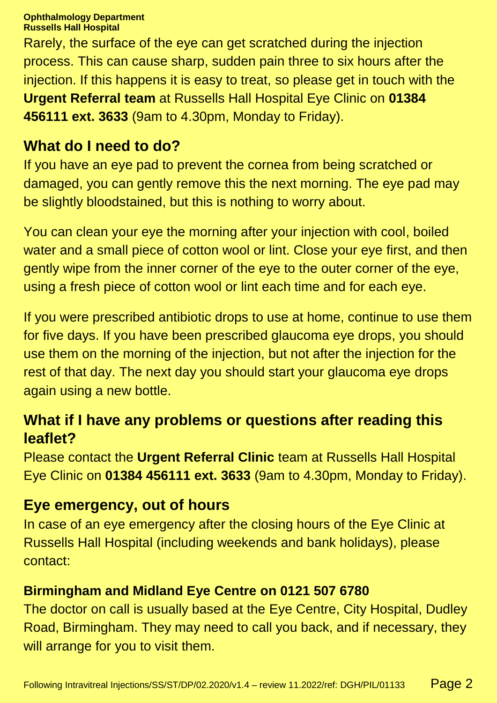**Ophthalmology Department Russells Hall Hospital**

Rarely, the surface of the eye can get scratched during the injection process. This can cause sharp, sudden pain three to six hours after the injection. If this happens it is easy to treat, so please get in touch with the **Urgent Referral team** at Russells Hall Hospital Eye Clinic on **01384 456111 ext. 3633** (9am to 4.30pm, Monday to Friday).

## **What do I need to do?**

If you have an eye pad to prevent the cornea from being scratched or damaged, you can gently remove this the next morning. The eye pad may be slightly bloodstained, but this is nothing to worry about.

You can clean your eye the morning after your injection with cool, boiled water and a small piece of cotton wool or lint. Close your eye first, and then gently wipe from the inner corner of the eye to the outer corner of the eye, using a fresh piece of cotton wool or lint each time and for each eye.

If you were prescribed antibiotic drops to use at home, continue to use them for five days. If you have been prescribed glaucoma eye drops, you should use them on the morning of the injection, but not after the injection for the rest of that day. The next day you should start your glaucoma eye drops again using a new bottle.

## **What if I have any problems or questions after reading this leaflet?**

Please contact the **Urgent Referral Clinic** team at Russells Hall Hospital Eye Clinic on **01384 456111 ext. 3633** (9am to 4.30pm, Monday to Friday).

## **Eye emergency, out of hours**

In case of an eye emergency after the closing hours of the Eye Clinic at Russells Hall Hospital (including weekends and bank holidays), please contact:

#### **Birmingham and Midland Eye Centre on 0121 507 6780**

The doctor on call is usually based at the Eye Centre, City Hospital, Dudley Road, Birmingham. They may need to call you back, and if necessary, they will arrange for you to visit them.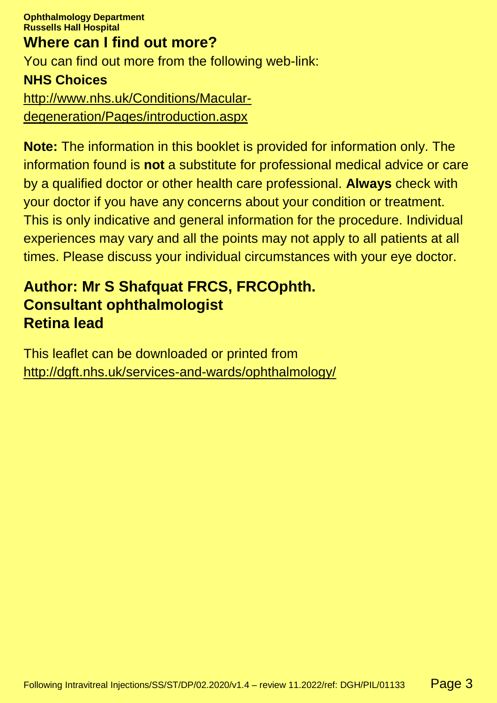**Ophthalmology Department Russells Hall Hospital Where can I find out more?**

You can find out more from the following web-link:

#### **NHS Choices**

[http://www.nhs.uk/Conditions/Macular](http://www.nhs.uk/Conditions/Macular-degeneration/Pages/introduction.aspx)[degeneration/Pages/introduction.aspx](http://www.nhs.uk/Conditions/Macular-degeneration/Pages/introduction.aspx)

**Note:** The information in this booklet is provided for information only. The information found is **not** a substitute for professional medical advice or care by a qualified doctor or other health care professional. **Always** check with your doctor if you have any concerns about your condition or treatment. This is only indicative and general information for the procedure. Individual experiences may vary and all the points may not apply to all patients at all times. Please discuss your individual circumstances with your eye doctor.

## **Author: Mr S Shafquat FRCS, FRCOphth. Consultant ophthalmologist Retina lead**

This leaflet can be downloaded or printed from <http://dgft.nhs.uk/services-and-wards/ophthalmology/>